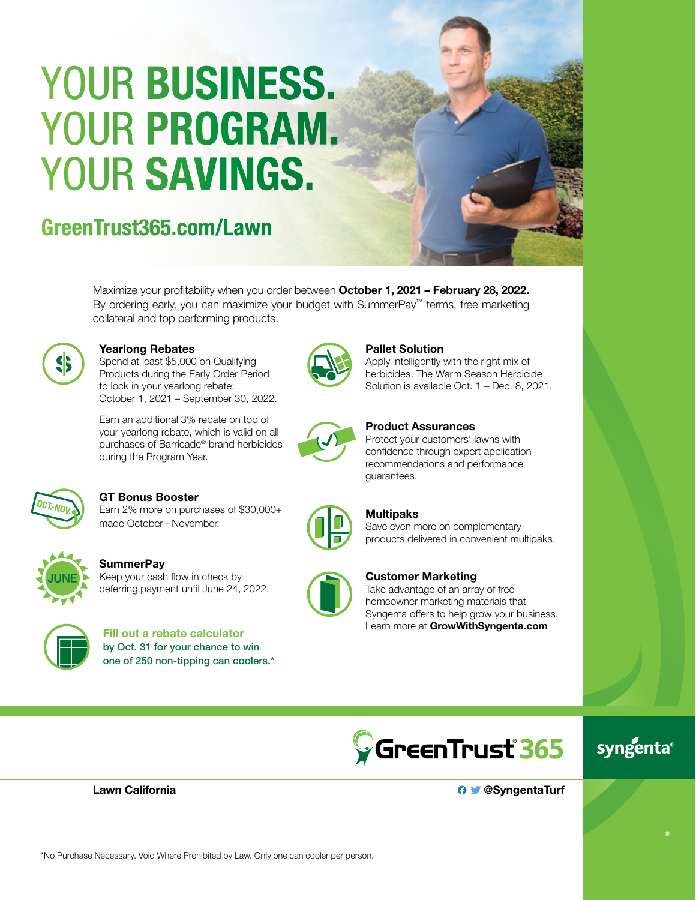# YOUR BUSINESS. YOUR PROGRAM. YOUR SAVINGS.

# GreenTrust365.com/Lawn



Maximize your profitability when you order between October 1, 2021 – February 28, 2022. By ordering early, you can maximize your budget with SummerPay™ terms, free marketing collateral and top performing products.



#### Yearlong Rebates

Spend at least \$5,000 on Qualifying Products during the Early Order Period to lock in your yearlong rebate: October 1, 2021 – September 30, 2022.

Earn an additional 3% rebate on top of your yearlong rebate, which is valid on all purchases of Barricade® brand herbicides during the Program Year.



#### Pallet Solution

Apply intelligently with the right mix of herbicides. The Warm Season Herbicide Solution is available Oct. 1 – Dec. 8, 2021.



#### Product Assurances

Protect your customers' lawns with confidence through expert application recommendations and performance guarantees.

Save even more on complementary products delivered in convenient multipaks.



#### GT Bonus Booster

Earn 2% more on purchases of \$30,000+ made October – November.



**SummerPay** 

Keep your cash flow in check by deferring payment until June 24, 2022.



Fill out a rebate calculator by Oct. 31 for your chance to win one of 250 non-tipping can coolers.\*

**Multipaks** 



#### Customer Marketing

Take advantage of an array of free homeowner marketing materials that Syngenta offers to help grow your business. Learn more at GrowWithSyngenta.com



# syngenta®

#### Lawn California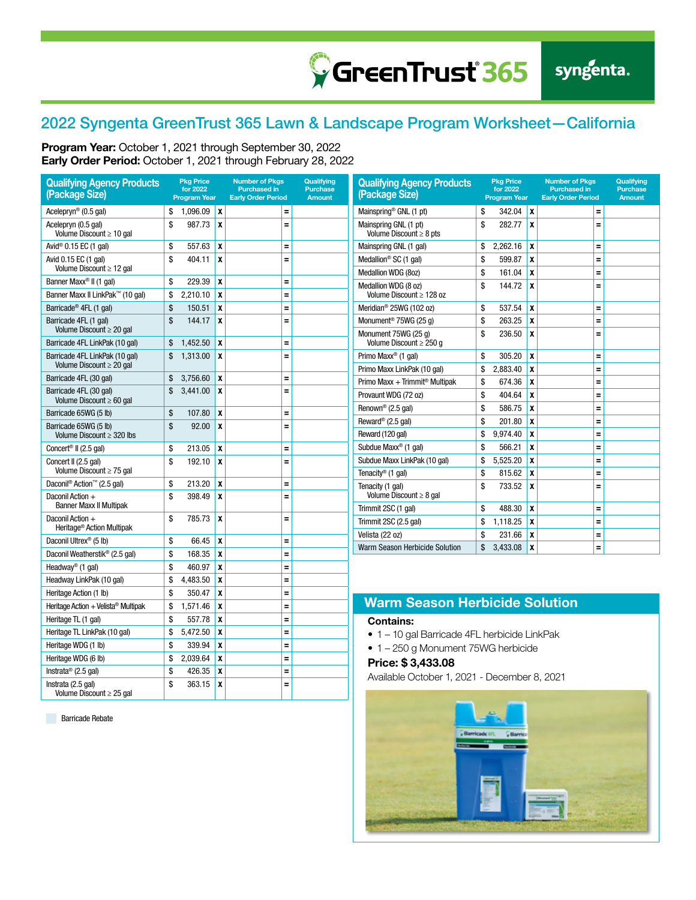## 2022 Syngenta GreenTrust 365 Lawn & Landscape Program Worksheet—California

GreenTrust<sup>365</sup>

Program Year: October 1, 2021 through September 30, 2022 Early Order Period: October 1, 2021 through February 28, 2022

| <b>Qualifying Agency Products</b><br>(Package Size)     | <b>Pkg Price</b><br>for 2022<br><b>Program Year</b> |                           | <b>Number of Pkgs</b><br><b>Purchased in</b><br><b>Early Order Period</b> | Qualifying<br><b>Purchase</b><br><b>Amount</b> | <b>Qualifying Agency Products</b><br>(Package Size)                                 |          | <b>Pkg Price</b><br>for 2022<br><b>Program Year</b> |                                                        | <b>Number of Pkgs</b><br><b>Purchased in</b><br><b>Early Order Period</b> |  | Qualifying<br><b>Purchase</b><br><b>Amount</b> |
|---------------------------------------------------------|-----------------------------------------------------|---------------------------|---------------------------------------------------------------------------|------------------------------------------------|-------------------------------------------------------------------------------------|----------|-----------------------------------------------------|--------------------------------------------------------|---------------------------------------------------------------------------|--|------------------------------------------------|
| Acelepryn <sup>®</sup> (0.5 gal)                        | \$<br>1,096.09                                      | $\boldsymbol{x}$          | $\equiv$                                                                  |                                                | Mainspring <sup>®</sup> GNL (1 pt)                                                  |          | 342.04                                              | $\boldsymbol{\mathsf{x}}$                              | Ξ                                                                         |  |                                                |
| Acelepryn (0.5 gal)<br>Volume Discount $\geq 10$ gal    | \$<br>987.73                                        | X                         | $\equiv$                                                                  |                                                | Mainspring GNL (1 pt)<br>Volume Discount $\geq 8$ pts                               | \$       | 282.77                                              | X                                                      | Ξ                                                                         |  |                                                |
| Avid <sup>®</sup> 0.15 EC (1 gal)                       | \$<br>557.63                                        | X                         | Ξ                                                                         |                                                | Mainspring GNL (1 gal)                                                              | \$       | 2,262.16                                            | X                                                      | Ξ                                                                         |  |                                                |
| Avid 0.15 EC (1 gal)                                    | \$<br>404.11                                        | X                         | $\equiv$                                                                  |                                                | Medallion <sup>®</sup> SC (1 gal)                                                   | \$       | 599.87                                              | $\boldsymbol{x}$                                       | Ξ                                                                         |  |                                                |
| Volume Discount ≥ 12 gal                                |                                                     |                           |                                                                           |                                                | Medallion WDG (8oz)                                                                 | \$       | 161.04                                              | X                                                      | Ξ                                                                         |  |                                                |
| Banner Maxx <sup>®</sup> II (1 gal)                     | \$<br>229.39                                        | $\boldsymbol{x}$          | Ξ                                                                         |                                                | Medallion WDG (8 oz)                                                                | \$       | 144.72                                              | x                                                      | Ξ                                                                         |  |                                                |
| Banner Maxx II LinkPak™ (10 gal)                        | \$<br>2.210.10                                      | X                         | $\equiv$                                                                  |                                                | Volume Discount $\geq 128$ oz                                                       |          |                                                     |                                                        |                                                                           |  |                                                |
| Barricade <sup>®</sup> 4FL (1 gal)                      | \$<br>150.51                                        | X                         | $\equiv$                                                                  |                                                | Meridian <sup>®</sup> 25WG (102 oz)                                                 | S        | 537.54                                              | X                                                      | Ξ                                                                         |  |                                                |
| Barricade 4FL (1 gal)<br>Volume Discount $\geq 20$ gal  | \$<br>144.17                                        | X                         | $\equiv$                                                                  |                                                | Monument <sup>®</sup> 75WG (25 q)<br>Monument 75WG (25 q)                           | \$<br>\$ | 263.25<br>236.50                                    | $\boldsymbol{\mathsf{x}}$<br>$\boldsymbol{\mathsf{x}}$ | Ξ<br>Ξ                                                                    |  |                                                |
| Barricade 4FL LinkPak (10 gal)                          | \$<br>1,452.50                                      | χ                         | Ξ                                                                         |                                                | Volume Discount $\geq 250$ g                                                        |          |                                                     |                                                        |                                                                           |  |                                                |
| Barricade 4FL LinkPak (10 gal)                          | \$<br>1.313.00                                      | X                         | $\equiv$                                                                  |                                                | Primo Maxx <sup>®</sup> (1 gal)                                                     | \$       | 305.20                                              | x                                                      | Ξ                                                                         |  |                                                |
| Volume Discount $\geq 20$ gal                           |                                                     |                           |                                                                           |                                                | Primo Maxx LinkPak (10 gal)                                                         | \$       | 2,883.40                                            | $\boldsymbol{x}$                                       | Ξ                                                                         |  |                                                |
| Barricade 4FL (30 gal)                                  | \$<br>3,756.60                                      | X                         | $\equiv$                                                                  |                                                | Primo Maxx + Trimmit <sup>®</sup> Multipak                                          | \$       | 674.36                                              | x                                                      | Ξ                                                                         |  |                                                |
| Barricade 4FL (30 gal)<br>Volume Discount $\geq 60$ gal | \$<br>3.441.00                                      | X                         | $\equiv$                                                                  | Provaunt WDG (72 oz)                           |                                                                                     | \$       | 404.64                                              | $\boldsymbol{x}$                                       | Ξ                                                                         |  |                                                |
| Barricade 65WG (5 lb)                                   | \$<br>107.80                                        | X                         | $\equiv$                                                                  |                                                | Renown <sup>®</sup> (2.5 gal)                                                       | \$       | 586.75                                              | $\boldsymbol{\mathsf{x}}$                              | Ξ                                                                         |  |                                                |
| Barricade 65WG (5 lb)                                   | \$<br>92.00                                         | X                         | $\equiv$                                                                  |                                                | Reward <sup>®</sup> (2.5 gal)                                                       | \$       | 201.80                                              | $\boldsymbol{\mathsf{x}}$                              | Ξ                                                                         |  |                                                |
| Volume Discount $\geq$ 320 lbs                          |                                                     |                           |                                                                           | Reward (120 gal)                               |                                                                                     | \$       | 9,974.40                                            | $\boldsymbol{\mathsf{x}}$                              | Ξ                                                                         |  |                                                |
| Concert <sup>®</sup> II (2.5 gal)                       | \$<br>213.05                                        | X                         | $\equiv$                                                                  |                                                | Subdue Maxx <sup>®</sup> (1 gal)                                                    | \$       | 566.21                                              | $\boldsymbol{\mathsf{x}}$                              | Ξ                                                                         |  |                                                |
| Concert II (2.5 gal)                                    | \$<br>192.10                                        | X                         | $\equiv$                                                                  | Subdue Maxx LinkPak (10 gal)                   |                                                                                     | \$       | 5,525.20                                            | $\boldsymbol{\mathsf{x}}$                              | Ξ                                                                         |  |                                                |
| Volume Discount $\geq$ 75 gal                           |                                                     |                           |                                                                           | Tenacity <sup>®</sup> (1 gal)                  |                                                                                     | \$       | 815.62                                              | X                                                      | Ξ                                                                         |  |                                                |
| Daconil <sup>®</sup> Action <sup>™</sup> (2.5 gal)      | \$<br>213.20                                        | X                         | $\equiv$                                                                  | Tenacity (1 gal)                               |                                                                                     | \$       | 733.52                                              | X                                                      | $\equiv$                                                                  |  |                                                |
| Daconil Action +<br><b>Banner Maxx II Multipak</b>      | \$<br>398.49                                        | X                         | $\equiv$                                                                  |                                                | Volume Discount $\geq 8$ gal                                                        |          |                                                     |                                                        |                                                                           |  |                                                |
| Daconil Action +                                        | \$<br>785.73                                        | X                         | $\equiv$                                                                  |                                                | Trimmit 2SC (1 gal)                                                                 | \$       | 488.30                                              | $\boldsymbol{\mathsf{x}}$                              | Ξ                                                                         |  |                                                |
| Heritage <sup>®</sup> Action Multipak                   |                                                     |                           |                                                                           |                                                | Trimmit 2SC (2.5 gal)                                                               | \$<br>\$ | 1.118.25                                            | X                                                      | Ξ                                                                         |  |                                                |
| Daconil Ultrex® (5 lb)                                  | \$<br>66.45                                         | $\boldsymbol{\mathsf{x}}$ | $\equiv$                                                                  |                                                | Velista (22 oz)                                                                     |          | 231.66                                              | $\boldsymbol{\mathsf{x}}$                              | Ξ                                                                         |  |                                                |
| Daconil Weatherstik <sup>®</sup> (2.5 gal)              | \$<br>168.35                                        | $\mathbf{x}$              | $\equiv$                                                                  |                                                | Warm Season Herbicide Solution                                                      | \$       | 3,433.08                                            | l X                                                    | Ξ                                                                         |  |                                                |
| Headway <sup>®</sup> (1 gal)                            | \$<br>460.97                                        | $\boldsymbol{x}$          | $\equiv$                                                                  |                                                |                                                                                     |          |                                                     |                                                        |                                                                           |  |                                                |
| Headway LinkPak (10 gal)                                | \$<br>4,483.50                                      | ١x                        | $\equiv$                                                                  |                                                |                                                                                     |          |                                                     |                                                        |                                                                           |  |                                                |
| Heritage Action (1 lb)                                  | \$<br>350.47                                        | X                         | Ξ                                                                         |                                                |                                                                                     |          |                                                     |                                                        |                                                                           |  |                                                |
| Heritage Action + Velista <sup>®</sup> Multipak         | \$<br>1,571.46                                      | $\boldsymbol{\mathsf{x}}$ | $\equiv$                                                                  |                                                | <b>Warm Season Herbicide Solution</b>                                               |          |                                                     |                                                        |                                                                           |  |                                                |
| Heritage TL (1 gal)                                     | \$<br>557.78                                        | X                         | Ξ                                                                         |                                                | <b>Contains:</b>                                                                    |          |                                                     |                                                        |                                                                           |  |                                                |
| Heritage TL LinkPak (10 gal)                            | \$<br>5,472.50                                      | X                         | $\equiv$                                                                  |                                                |                                                                                     |          |                                                     |                                                        |                                                                           |  |                                                |
| Heritage WDG (1 lb)                                     | \$<br>339.94                                        | X                         | Ξ                                                                         |                                                | • 1 – 10 gal Barricade 4FL herbicide LinkPak<br>• 1 - 250 g Monument 75WG herbicide |          |                                                     |                                                        |                                                                           |  |                                                |
| Heritage WDG (6 lb)                                     | \$<br>2,039.64                                      | X                         | $\equiv$                                                                  |                                                |                                                                                     |          |                                                     |                                                        |                                                                           |  |                                                |
| Instrata <sup>®</sup> (2.5 gal)                         | \$<br>426.35                                        | X                         | $\equiv$                                                                  |                                                | Price: \$3,433.08                                                                   |          |                                                     |                                                        |                                                                           |  |                                                |
| Instrata (2.5 gal)                                      | \$<br>363.15                                        | İΧ                        | $\equiv$                                                                  |                                                | Available October 1, 2021 - December 8, 2021                                        |          |                                                     |                                                        |                                                                           |  |                                                |

Barricade Rebate

Volume Discount ≥ 25 gal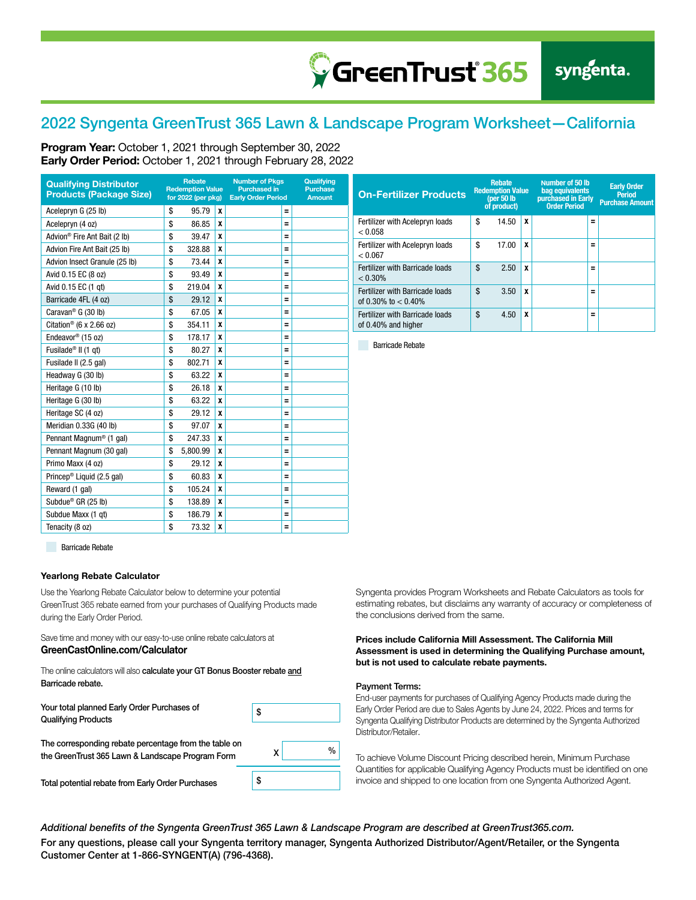### 2022 Syngenta GreenTrust 365 Lawn & Landscape Program Worksheet—California

Program Year: October 1, 2021 through September 30, 2022 Early Order Period: October 1, 2021 through February 28, 2022

| <b>Qualifying Distributor</b><br><b>Products (Package Size)</b> |    | <b>Rebate</b><br><b>Redemption Value</b><br>for 2022 (per pkg) |   | <b>Number of Pkgs</b><br><b>Purchased in</b><br><b>Early Order Period</b> |          | Qualifying<br><b>Purchase</b><br><b>Amount</b> |
|-----------------------------------------------------------------|----|----------------------------------------------------------------|---|---------------------------------------------------------------------------|----------|------------------------------------------------|
| Acelepryn G (25 lb)                                             | \$ | 95.79                                                          | x |                                                                           | Ξ        |                                                |
| Acelepryn (4 oz)                                                | \$ | 86.85                                                          | X |                                                                           | Ξ        |                                                |
| Advion <sup>®</sup> Fire Ant Bait (2 lb)                        | \$ | 39.47                                                          | X |                                                                           | Ξ        |                                                |
| Advion Fire Ant Bait (25 lb)                                    | \$ | 328.88                                                         | X |                                                                           | Ξ        |                                                |
| Advion Insect Granule (25 lb)                                   | \$ | 73.44                                                          | X |                                                                           | $\equiv$ |                                                |
| Avid 0.15 EC (8 oz)                                             | \$ | 93.49                                                          | X |                                                                           | Ξ        |                                                |
| Avid 0.15 EC (1 gt)                                             | \$ | 219.04                                                         | X |                                                                           | Ξ        |                                                |
| Barricade 4FL (4 oz)                                            | \$ | 29.12                                                          | X |                                                                           | Ξ        |                                                |
| Caravan <sup>®</sup> G (30 lb)                                  | \$ | 67.05                                                          | X |                                                                           | Ξ        |                                                |
| Citation <sup>®</sup> (6 x 2.66 oz)                             | \$ | 354.11                                                         | χ |                                                                           | Ξ        |                                                |
| Endeavor <sup>®</sup> (15 oz)                                   | \$ | 178.17                                                         | X |                                                                           | Ξ        |                                                |
| Fusilade <sup>®</sup> II (1 qt)                                 | \$ | 80.27                                                          | X |                                                                           | Ξ        |                                                |
| Fusilade II (2.5 gal)                                           | \$ | 802.71                                                         | X |                                                                           | Ξ        |                                                |
| Headway G (30 lb)                                               | \$ | 63.22                                                          | X |                                                                           | Ξ        |                                                |
| Heritage G (10 lb)                                              | \$ | 26.18                                                          | X |                                                                           | Ξ        |                                                |
| Heritage G (30 lb)                                              | \$ | 63.22                                                          | X |                                                                           | Ξ        |                                                |
| Heritage SC (4 oz)                                              | \$ | 29.12                                                          | X |                                                                           | Ξ        |                                                |
| Meridian 0.33G (40 lb)                                          | \$ | 97.07                                                          | X |                                                                           | Ξ        |                                                |
| Pennant Magnum <sup>®</sup> (1 gal)                             | \$ | 247.33                                                         | X |                                                                           | Ξ        |                                                |
| Pennant Magnum (30 gal)                                         | \$ | 5,800.99                                                       | X |                                                                           | Ξ        |                                                |
| Primo Maxx (4 oz)                                               | \$ | 29.12                                                          | X |                                                                           | Ξ        |                                                |
| Princep <sup>®</sup> Liquid (2.5 gal)                           | \$ | 60.83                                                          | χ |                                                                           | Ξ        |                                                |
| Reward (1 gal)                                                  | \$ | 105.24                                                         | X |                                                                           | Ξ        |                                                |
| Subdue <sup>®</sup> GR (25 lb)                                  | \$ | 138.89                                                         | X |                                                                           | Ξ        |                                                |
| Subdue Maxx (1 gt)                                              | \$ | 186.79                                                         | X |                                                                           | Ξ        |                                                |
| Tenacity (8 oz)                                                 | \$ | 73.32                                                          | X |                                                                           | Ξ        |                                                |

| <b>On-Fertilizer Products</b>                             |    | <b>Rebate</b><br><b>Redemption Value</b><br>(per $50$ lb<br>of product) |   | Number of 50 lb<br>bag equivalents<br>purchased in Early<br><b>Order Period</b> |          | <b>Early Order</b><br><b>Period</b><br><b>Purchase Amount</b> |  |
|-----------------------------------------------------------|----|-------------------------------------------------------------------------|---|---------------------------------------------------------------------------------|----------|---------------------------------------------------------------|--|
| Fertilizer with Acelepryn loads<br>< 0.058                | \$ | 14.50                                                                   | x |                                                                                 | $\equiv$ |                                                               |  |
| Fertilizer with Acelepryn loads<br>< 0.067                |    | 17.00                                                                   | x |                                                                                 | $=$      |                                                               |  |
| Fertilizer with Barricade loads<br>$< 0.30\%$             | \$ | 2.50                                                                    | x |                                                                                 | $=$      |                                                               |  |
| Fertilizer with Barricade loads<br>of 0.30% to $< 0.40\%$ | \$ | 3.50                                                                    | x |                                                                                 | $=$      |                                                               |  |
| Fertilizer with Barricade loads<br>of 0.40% and higher    | \$ | 4.50                                                                    | x |                                                                                 | $=$      |                                                               |  |

Barricade Rebate

Barricade Rebate

Qualifying Products

#### Yearlong Rebate Calculator

Use the Yearlong Rebate Calculator below to determine your potential GreenTrust 365 rebate earned from your purchases of Qualifying Products made during the Early Order Period.

Save time and money with our easy-to-use online rebate calculators at GreenCastOnline.com/Calculator

The online calculators will also calculate your GT Bonus Booster rebate and Barricade rebate.

\$

\$

| The corresponding rebate percentage from the table on |   |
|-------------------------------------------------------|---|
| χ<br>the GreenTrust 365 Lawn & Landscape Program Form | % |
|                                                       |   |

Total potential rebate from Early Order Purchases

Your total planned Early Order Purchases of

Syngenta provides Program Worksheets and Rebate Calculators as tools for estimating rebates, but disclaims any warranty of accuracy or completeness of the conclusions derived from the same.

#### Prices include California Mill Assessment. The California Mill Assessment is used in determining the Qualifying Purchase amount, but is not used to calculate rebate payments.

#### Payment Terms:

End-user payments for purchases of Qualifying Agency Products made during the Early Order Period are due to Sales Agents by June 24, 2022. Prices and terms for Syngenta Qualifying Distributor Products are determined by the Syngenta Authorized Distributor/Retailer.

To achieve Volume Discount Pricing described herein, Minimum Purchase Quantities for applicable Qualifying Agency Products must be identified on one invoice and shipped to one location from one Syngenta Authorized Agent.

*Additional benefits of the Syngenta GreenTrust 365 Lawn & Landscape Program are described at GreenTrust365.com.*

For any questions, please call your Syngenta territory manager, Syngenta Authorized Distributor/Agent/Retailer, or the Syngenta Customer Center at 1-866-SYNGENT(A) (796-4368).